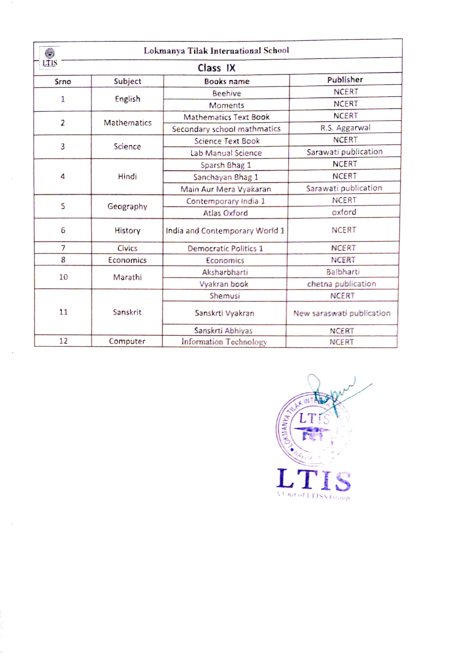|                  |                    | Lokmanya Tilak International School |                           |  |
|------------------|--------------------|-------------------------------------|---------------------------|--|
| LTIS<br>Class IX |                    |                                     |                           |  |
| Srno             | Subject            | <b>Books name</b>                   | Publisher                 |  |
|                  | English            | <b>Beehive</b>                      | <b>NCERT</b>              |  |
| $\mathbf{1}$     |                    | <b>Moments</b>                      | <b>NCERT</b>              |  |
|                  | <b>Mathematics</b> | <b>Mathematics Text Book</b>        | <b>NCERT</b>              |  |
| $\overline{2}$   |                    | Secondary school mathmatics         | R.S. Aggarwal             |  |
|                  | Science            | <b>Science Text Book</b>            | <b>NCERT</b>              |  |
| 3                |                    | Lab Manual Science                  | Sarawati publication      |  |
|                  | Hindi              | Sparsh Bhag 1                       | <b>NCERT</b>              |  |
| 4                |                    | Sanchayan Bhag 1                    | <b>NCERT</b>              |  |
|                  |                    | Main Aur Mera Vyakaran              | Sarawati publication      |  |
| 5                | Geography          | Contemporary India 1                | <b>NCERT</b>              |  |
|                  |                    | <b>Atlas Oxford</b>                 | oxford                    |  |
| 6                | History            | India and Contemporary World 1      | <b>NCERT</b>              |  |
| 7                | Civics             | Democratic Politics 1               | <b>NCERT</b>              |  |
| 8                | Economics          | Economics                           | <b>NCERT</b>              |  |
| 10               | Marathi            | Aksharbharti                        | Balbharti                 |  |
|                  |                    | Vyakran book                        | chetna publication        |  |
|                  | Sanskrit           | Shemusi                             | <b>NCERT</b>              |  |
| 11               |                    | Sanskrti Vyakran                    | New saraswati publication |  |
|                  |                    | Sanskrti Abhiyas                    | <b>NCERT</b>              |  |
| 12               | Computer           | Information Technology              | <b>NCERT</b>              |  |